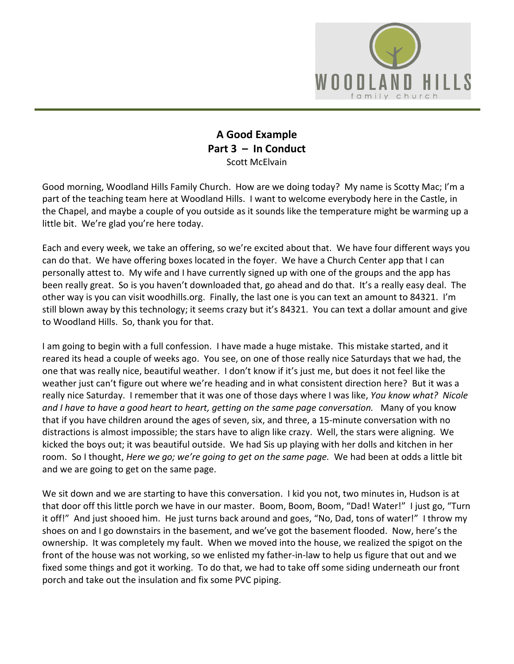

## **A Good Example Part 3 – In Conduct** Scott McElvain

Good morning, Woodland Hills Family Church. How are we doing today? My name is Scotty Mac; I'm a part of the teaching team here at Woodland Hills. I want to welcome everybody here in the Castle, in the Chapel, and maybe a couple of you outside as it sounds like the temperature might be warming up a little bit. We're glad you're here today.

Each and every week, we take an offering, so we're excited about that. We have four different ways you can do that. We have offering boxes located in the foyer. We have a Church Center app that I can personally attest to. My wife and I have currently signed up with one of the groups and the app has been really great. So is you haven't downloaded that, go ahead and do that. It's a really easy deal. The other way is you can visit woodhills.org. Finally, the last one is you can text an amount to 84321. I'm still blown away by this technology; it seems crazy but it's 84321. You can text a dollar amount and give to Woodland Hills. So, thank you for that.

I am going to begin with a full confession. I have made a huge mistake. This mistake started, and it reared its head a couple of weeks ago. You see, on one of those really nice Saturdays that we had, the one that was really nice, beautiful weather. I don't know if it's just me, but does it not feel like the weather just can't figure out where we're heading and in what consistent direction here? But it was a really nice Saturday. I remember that it was one of those days where I was like, *You know what? Nicole and I have to have a good heart to heart, getting on the same page conversation.* Many of you know that if you have children around the ages of seven, six, and three, a 15-minute conversation with no distractions is almost impossible; the stars have to align like crazy. Well, the stars were aligning. We kicked the boys out; it was beautiful outside. We had Sis up playing with her dolls and kitchen in her room. So I thought, *Here we go; we're going to get on the same page.* We had been at odds a little bit and we are going to get on the same page.

We sit down and we are starting to have this conversation. I kid you not, two minutes in, Hudson is at that door off this little porch we have in our master. Boom, Boom, Boom, "Dad! Water!" I just go, "Turn it off!" And just shooed him. He just turns back around and goes, "No, Dad, tons of water!" I throw my shoes on and I go downstairs in the basement, and we've got the basement flooded. Now, here's the ownership. It was completely my fault. When we moved into the house, we realized the spigot on the front of the house was not working, so we enlisted my father-in-law to help us figure that out and we fixed some things and got it working. To do that, we had to take off some siding underneath our front porch and take out the insulation and fix some PVC piping.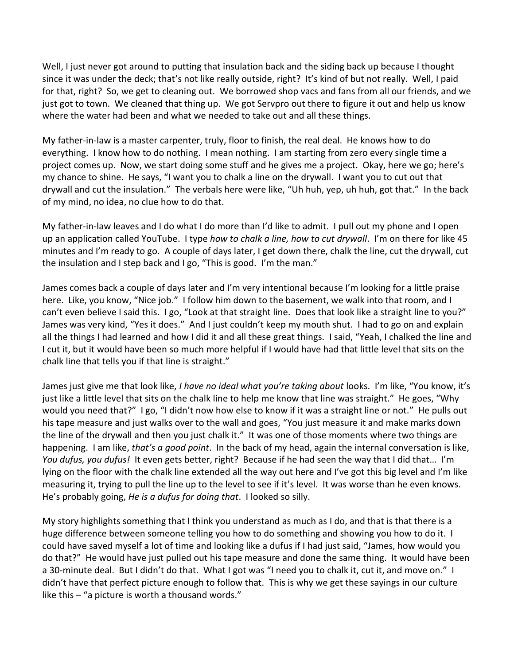Well, I just never got around to putting that insulation back and the siding back up because I thought since it was under the deck; that's not like really outside, right? It's kind of but not really. Well, I paid for that, right? So, we get to cleaning out. We borrowed shop vacs and fans from all our friends, and we just got to town. We cleaned that thing up. We got Servpro out there to figure it out and help us know where the water had been and what we needed to take out and all these things.

My father-in-law is a master carpenter, truly, floor to finish, the real deal. He knows how to do everything. I know how to do nothing. I mean nothing. I am starting from zero every single time a project comes up. Now, we start doing some stuff and he gives me a project. Okay, here we go; here's my chance to shine. He says, "I want you to chalk a line on the drywall. I want you to cut out that drywall and cut the insulation." The verbals here were like, "Uh huh, yep, uh huh, got that." In the back of my mind, no idea, no clue how to do that.

My father-in-law leaves and I do what I do more than I'd like to admit. I pull out my phone and I open up an application called YouTube. I type *how to chalk a line, how to cut drywall*. I'm on there for like 45 minutes and I'm ready to go. A couple of days later, I get down there, chalk the line, cut the drywall, cut the insulation and I step back and I go, "This is good. I'm the man."

James comes back a couple of days later and I'm very intentional because I'm looking for a little praise here. Like, you know, "Nice job." I follow him down to the basement, we walk into that room, and I can't even believe I said this. I go, "Look at that straight line. Does that look like a straight line to you?" James was very kind, "Yes it does." And I just couldn't keep my mouth shut. I had to go on and explain all the things I had learned and how I did it and all these great things. I said, "Yeah, I chalked the line and I cut it, but it would have been so much more helpful if I would have had that little level that sits on the chalk line that tells you if that line is straight."

James just give me that look like, *I have no ideal what you're taking about* looks. I'm like, "You know, it's just like a little level that sits on the chalk line to help me know that line was straight." He goes, "Why would you need that?" I go, "I didn't now how else to know if it was a straight line or not." He pulls out his tape measure and just walks over to the wall and goes, "You just measure it and make marks down the line of the drywall and then you just chalk it." It was one of those moments where two things are happening. I am like, *that's a good point*. In the back of my head, again the internal conversation is like, *You dufus, you dufus!* It even gets better, right? Because if he had seen the way that I did that… I'm lying on the floor with the chalk line extended all the way out here and I've got this big level and I'm like measuring it, trying to pull the line up to the level to see if it's level. It was worse than he even knows. He's probably going, *He is a dufus for doing that*. I looked so silly.

My story highlights something that I think you understand as much as I do, and that is that there is a huge difference between someone telling you how to do something and showing you how to do it. I could have saved myself a lot of time and looking like a dufus if I had just said, "James, how would you do that?" He would have just pulled out his tape measure and done the same thing. It would have been a 30-minute deal. But I didn't do that. What I got was "I need you to chalk it, cut it, and move on." I didn't have that perfect picture enough to follow that. This is why we get these sayings in our culture like this – "a picture is worth a thousand words."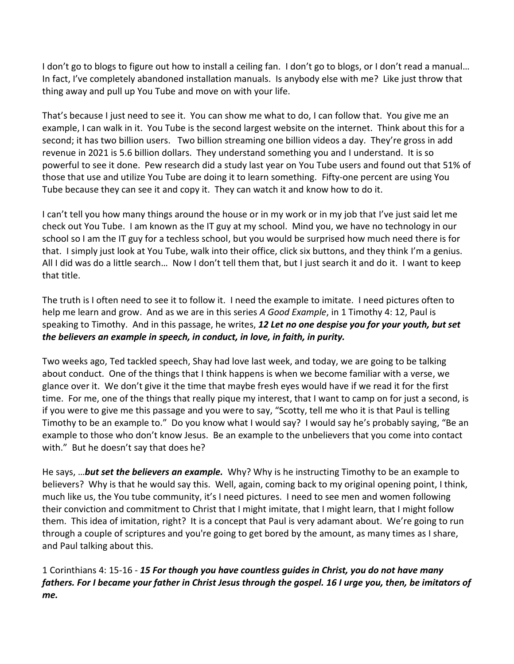I don't go to blogs to figure out how to install a ceiling fan. I don't go to blogs, or I don't read a manual… In fact, I've completely abandoned installation manuals. Is anybody else with me? Like just throw that thing away and pull up You Tube and move on with your life.

That's because I just need to see it. You can show me what to do, I can follow that. You give me an example, I can walk in it. You Tube is the second largest website on the internet. Think about this for a second; it has two billion users. Two billion streaming one billion videos a day. They're gross in add revenue in 2021 is 5.6 billion dollars. They understand something you and I understand. It is so powerful to see it done. Pew research did a study last year on You Tube users and found out that 51% of those that use and utilize You Tube are doing it to learn something. Fifty-one percent are using You Tube because they can see it and copy it. They can watch it and know how to do it.

I can't tell you how many things around the house or in my work or in my job that I've just said let me check out You Tube. I am known as the IT guy at my school. Mind you, we have no technology in our school so I am the IT guy for a techless school, but you would be surprised how much need there is for that. I simply just look at You Tube, walk into their office, click six buttons, and they think I'm a genius. All I did was do a little search… Now I don't tell them that, but I just search it and do it. I want to keep that title.

The truth is I often need to see it to follow it. I need the example to imitate. I need pictures often to help me learn and grow. And as we are in this series *A Good Example*, in 1 Timothy 4: 12, Paul is speaking to Timothy. And in this passage, he writes, *12 Let no one despise you for your youth, but set the believers an example in speech, in conduct, in love, in faith, in purity.*

Two weeks ago, Ted tackled speech, Shay had love last week, and today, we are going to be talking about conduct. One of the things that I think happens is when we become familiar with a verse, we glance over it. We don't give it the time that maybe fresh eyes would have if we read it for the first time. For me, one of the things that really pique my interest, that I want to camp on for just a second, is if you were to give me this passage and you were to say, "Scotty, tell me who it is that Paul is telling Timothy to be an example to." Do you know what I would say? I would say he's probably saying, "Be an example to those who don't know Jesus. Be an example to the unbelievers that you come into contact with." But he doesn't say that does he?

He says, …*but set the believers an example.* Why? Why is he instructing Timothy to be an example to believers? Why is that he would say this. Well, again, coming back to my original opening point, I think, much like us, the You tube community, it's I need pictures. I need to see men and women following their conviction and commitment to Christ that I might imitate, that I might learn, that I might follow them. This idea of imitation, right? It is a concept that Paul is very adamant about. We're going to run through a couple of scriptures and you're going to get bored by the amount, as many times as I share, and Paul talking about this.

1 Corinthians 4: 15-16 - *15 For though you have countless guides in Christ, you do not have many fathers. For I became your father in Christ Jesus through the gospel. 16 I urge you, then, be imitators of me.*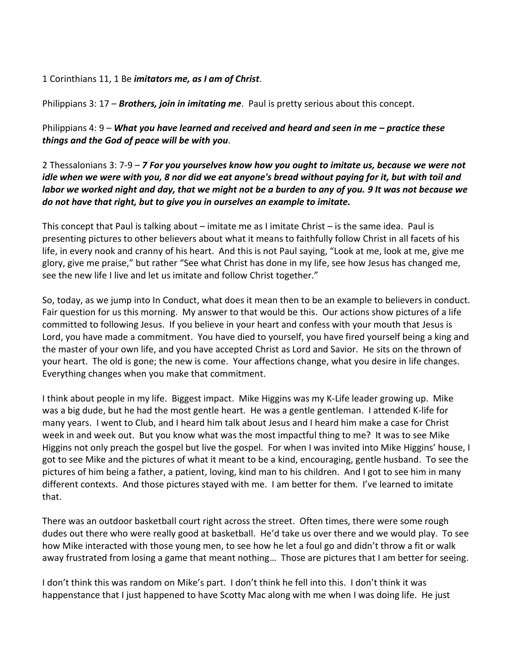1 Corinthians 11, 1 Be *imitators me, as I am of Christ*.

Philippians 3: 17 – *Brothers, join in imitating me*. Paul is pretty serious about this concept.

Philippians 4: 9 – *What you have learned and received and heard and seen in me – practice these things and the God of peace will be with you*.

2 Thessalonians 3: 7-9 – *7 For you yourselves know how you ought to imitate us, because we were not idle when we were with you, 8 nor did we eat anyone's bread without paying for it, but with toil and labor we worked night and day, that we might not be a burden to any of you. 9 It was not because we do not have that right, but to give you in ourselves an example to imitate.*

This concept that Paul is talking about – imitate me as I imitate Christ – is the same idea. Paul is presenting pictures to other believers about what it means to faithfully follow Christ in all facets of his life, in every nook and cranny of his heart. And this is not Paul saying, "Look at me, look at me, give me glory, give me praise," but rather "See what Christ has done in my life, see how Jesus has changed me, see the new life I live and let us imitate and follow Christ together."

So, today, as we jump into In Conduct, what does it mean then to be an example to believers in conduct. Fair question for us this morning. My answer to that would be this. Our actions show pictures of a life committed to following Jesus. If you believe in your heart and confess with your mouth that Jesus is Lord, you have made a commitment. You have died to yourself, you have fired yourself being a king and the master of your own life, and you have accepted Christ as Lord and Savior. He sits on the thrown of your heart. The old is gone; the new is come. Your affections change, what you desire in life changes. Everything changes when you make that commitment.

I think about people in my life. Biggest impact. Mike Higgins was my K-Life leader growing up. Mike was a big dude, but he had the most gentle heart. He was a gentle gentleman. I attended K-life for many years. I went to Club, and I heard him talk about Jesus and I heard him make a case for Christ week in and week out. But you know what was the most impactful thing to me? It was to see Mike Higgins not only preach the gospel but live the gospel. For when I was invited into Mike Higgins' house, I got to see Mike and the pictures of what it meant to be a kind, encouraging, gentle husband. To see the pictures of him being a father, a patient, loving, kind man to his children. And I got to see him in many different contexts. And those pictures stayed with me. I am better for them. I've learned to imitate that.

There was an outdoor basketball court right across the street. Often times, there were some rough dudes out there who were really good at basketball. He'd take us over there and we would play. To see how Mike interacted with those young men, to see how he let a foul go and didn't throw a fit or walk away frustrated from losing a game that meant nothing… Those are pictures that I am better for seeing.

I don't think this was random on Mike's part. I don't think he fell into this. I don't think it was happenstance that I just happened to have Scotty Mac along with me when I was doing life. He just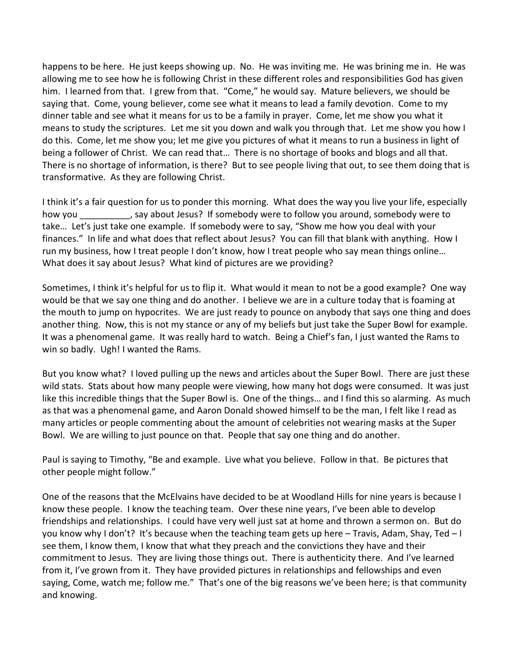happens to be here. He just keeps showing up. No. He was inviting me. He was brining me in. He was allowing me to see how he is following Christ in these different roles and responsibilities God has given him. I learned from that. I grew from that. "Come," he would say. Mature believers, we should be saying that. Come, young believer, come see what it means to lead a family devotion. Come to my dinner table and see what it means for us to be a family in prayer. Come, let me show you what it means to study the scriptures. Let me sit you down and walk you through that. Let me show you how I do this. Come, let me show you; let me give you pictures of what it means to run a business in light of being a follower of Christ. We can read that… There is no shortage of books and blogs and all that. There is no shortage of information, is there? But to see people living that out, to see them doing that is transformative. As they are following Christ.

I think it's a fair question for us to ponder this morning. What does the way you live your life, especially how you say about Jesus? If somebody were to follow you around, somebody were to take… Let's just take one example. If somebody were to say, "Show me how you deal with your finances." In life and what does that reflect about Jesus? You can fill that blank with anything. How I run my business, how I treat people I don't know, how I treat people who say mean things online… What does it say about Jesus? What kind of pictures are we providing?

Sometimes, I think it's helpful for us to flip it. What would it mean to not be a good example? One way would be that we say one thing and do another. I believe we are in a culture today that is foaming at the mouth to jump on hypocrites. We are just ready to pounce on anybody that says one thing and does another thing. Now, this is not my stance or any of my beliefs but just take the Super Bowl for example. It was a phenomenal game. It was really hard to watch. Being a Chief's fan, I just wanted the Rams to win so badly. Ugh! I wanted the Rams.

But you know what? I loved pulling up the news and articles about the Super Bowl. There are just these wild stats. Stats about how many people were viewing, how many hot dogs were consumed. It was just like this incredible things that the Super Bowl is. One of the things… and I find this so alarming. As much as that was a phenomenal game, and Aaron Donald showed himself to be the man, I felt like I read as many articles or people commenting about the amount of celebrities not wearing masks at the Super Bowl. We are willing to just pounce on that. People that say one thing and do another.

Paul is saying to Timothy, "Be and example. Live what you believe. Follow in that. Be pictures that other people might follow."

One of the reasons that the McElvains have decided to be at Woodland Hills for nine years is because I know these people. I know the teaching team. Over these nine years, I've been able to develop friendships and relationships. I could have very well just sat at home and thrown a sermon on. But do you know why I don't? It's because when the teaching team gets up here – Travis, Adam, Shay, Ted – I see them, I know them, I know that what they preach and the convictions they have and their commitment to Jesus. They are living those things out. There is authenticity there. And I've learned from it, I've grown from it. They have provided pictures in relationships and fellowships and even saying, Come, watch me; follow me." That's one of the big reasons we've been here; is that community and knowing.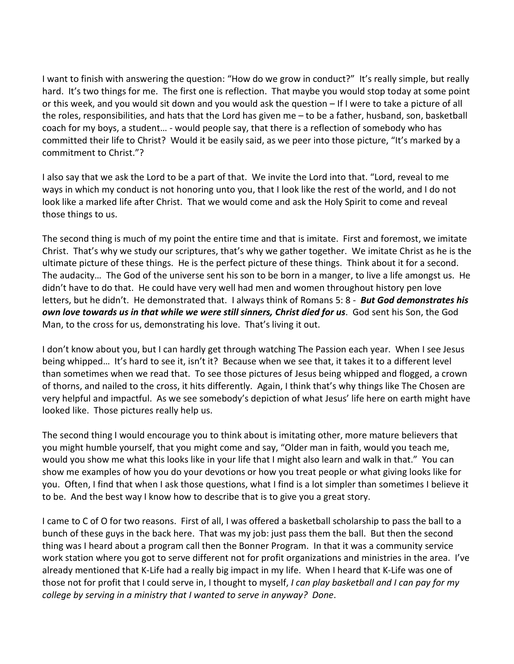I want to finish with answering the question: "How do we grow in conduct?" It's really simple, but really hard. It's two things for me. The first one is reflection. That maybe you would stop today at some point or this week, and you would sit down and you would ask the question – If I were to take a picture of all the roles, responsibilities, and hats that the Lord has given me – to be a father, husband, son, basketball coach for my boys, a student… - would people say, that there is a reflection of somebody who has committed their life to Christ? Would it be easily said, as we peer into those picture, "It's marked by a commitment to Christ."?

I also say that we ask the Lord to be a part of that. We invite the Lord into that. "Lord, reveal to me ways in which my conduct is not honoring unto you, that I look like the rest of the world, and I do not look like a marked life after Christ. That we would come and ask the Holy Spirit to come and reveal those things to us.

The second thing is much of my point the entire time and that is imitate. First and foremost, we imitate Christ. That's why we study our scriptures, that's why we gather together. We imitate Christ as he is the ultimate picture of these things. He is the perfect picture of these things. Think about it for a second. The audacity… The God of the universe sent his son to be born in a manger, to live a life amongst us. He didn't have to do that. He could have very well had men and women throughout history pen love letters, but he didn't. He demonstrated that. I always think of Romans 5: 8 - *But God demonstrates his own love towards us in that while we were still sinners, Christ died for us*. God sent his Son, the God Man, to the cross for us, demonstrating his love. That's living it out.

I don't know about you, but I can hardly get through watching The Passion each year. When I see Jesus being whipped… It's hard to see it, isn't it? Because when we see that, it takes it to a different level than sometimes when we read that. To see those pictures of Jesus being whipped and flogged, a crown of thorns, and nailed to the cross, it hits differently. Again, I think that's why things like The Chosen are very helpful and impactful. As we see somebody's depiction of what Jesus' life here on earth might have looked like. Those pictures really help us.

The second thing I would encourage you to think about is imitating other, more mature believers that you might humble yourself, that you might come and say, "Older man in faith, would you teach me, would you show me what this looks like in your life that I might also learn and walk in that." You can show me examples of how you do your devotions or how you treat people or what giving looks like for you. Often, I find that when I ask those questions, what I find is a lot simpler than sometimes I believe it to be. And the best way I know how to describe that is to give you a great story.

I came to C of O for two reasons. First of all, I was offered a basketball scholarship to pass the ball to a bunch of these guys in the back here. That was my job: just pass them the ball. But then the second thing was I heard about a program call then the Bonner Program. In that it was a community service work station where you got to serve different not for profit organizations and ministries in the area. I've already mentioned that K-Life had a really big impact in my life. When I heard that K-Life was one of those not for profit that I could serve in, I thought to myself, *I can play basketball and I can pay for my college by serving in a ministry that I wanted to serve in anyway? Done*.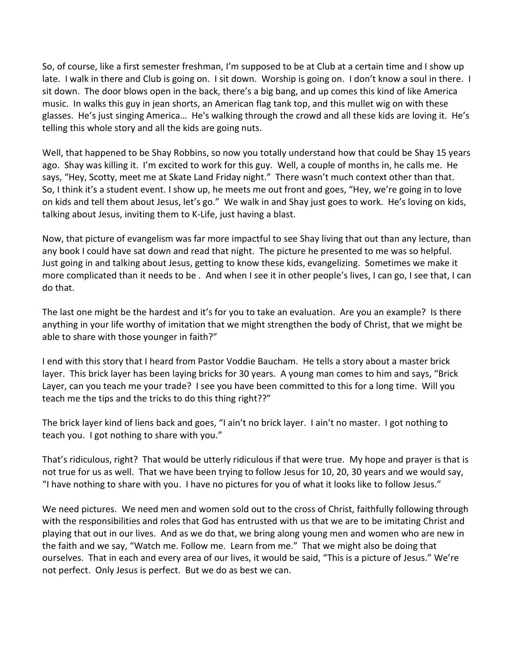So, of course, like a first semester freshman, I'm supposed to be at Club at a certain time and I show up late. I walk in there and Club is going on. I sit down. Worship is going on. I don't know a soul in there. I sit down. The door blows open in the back, there's a big bang, and up comes this kind of like America music. In walks this guy in jean shorts, an American flag tank top, and this mullet wig on with these glasses. He's just singing America… He's walking through the crowd and all these kids are loving it. He's telling this whole story and all the kids are going nuts.

Well, that happened to be Shay Robbins, so now you totally understand how that could be Shay 15 years ago. Shay was killing it. I'm excited to work for this guy. Well, a couple of months in, he calls me. He says, "Hey, Scotty, meet me at Skate Land Friday night." There wasn't much context other than that. So, I think it's a student event. I show up, he meets me out front and goes, "Hey, we're going in to love on kids and tell them about Jesus, let's go." We walk in and Shay just goes to work. He's loving on kids, talking about Jesus, inviting them to K-Life, just having a blast.

Now, that picture of evangelism was far more impactful to see Shay living that out than any lecture, than any book I could have sat down and read that night. The picture he presented to me was so helpful. Just going in and talking about Jesus, getting to know these kids, evangelizing. Sometimes we make it more complicated than it needs to be . And when I see it in other people's lives, I can go, I see that, I can do that.

The last one might be the hardest and it's for you to take an evaluation. Are you an example? Is there anything in your life worthy of imitation that we might strengthen the body of Christ, that we might be able to share with those younger in faith?"

I end with this story that I heard from Pastor Voddie Baucham. He tells a story about a master brick layer. This brick layer has been laying bricks for 30 years. A young man comes to him and says, "Brick Layer, can you teach me your trade? I see you have been committed to this for a long time. Will you teach me the tips and the tricks to do this thing right??"

The brick layer kind of liens back and goes, "I ain't no brick layer. I ain't no master. I got nothing to teach you. I got nothing to share with you."

That's ridiculous, right? That would be utterly ridiculous if that were true. My hope and prayer is that is not true for us as well. That we have been trying to follow Jesus for 10, 20, 30 years and we would say, "I have nothing to share with you. I have no pictures for you of what it looks like to follow Jesus."

We need pictures. We need men and women sold out to the cross of Christ, faithfully following through with the responsibilities and roles that God has entrusted with us that we are to be imitating Christ and playing that out in our lives. And as we do that, we bring along young men and women who are new in the faith and we say, "Watch me. Follow me. Learn from me." That we might also be doing that ourselves. That in each and every area of our lives, it would be said, "This is a picture of Jesus." We're not perfect. Only Jesus is perfect. But we do as best we can.